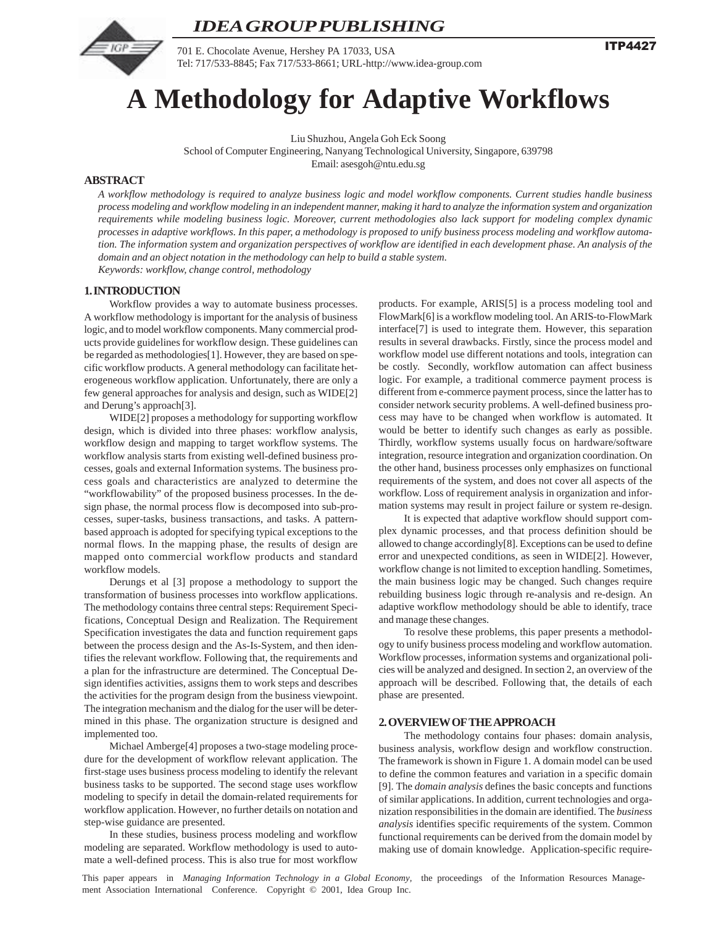

*IDEA GROUP PUBLISHING*

701 E. Chocolate Avenue, Hershey PA 17033, USA Tel: 717/533-8845; Fax 717/533-8661; URL-http://www.idea-group.com

2001 IRMA International Conference • 537

# **A Methodology for Adaptive Workflows**

Liu Shuzhou, Angela Goh Eck Soong

School of Computer Engineering, Nanyang Technological University, Singapore, 639798 Email: asesgoh@ntu.edu.sg

## **ABSTRACT**

*A workflow methodology is required to analyze business logic and model workflow components. Current studies handle business process modeling and workflow modeling in an independent manner, making it hard to analyze the information system and organization requirements while modeling business logic. Moreover, current methodologies also lack support for modeling complex dynamic processes in adaptive workflows. In this paper, a methodology is proposed to unify business process modeling and workflow automation. The information system and organization perspectives of workflow are identified in each development phase. An analysis of the domain and an object notation in the methodology can help to build a stable system. Keywords: workflow, change control, methodology*

## **1. INTRODUCTION**

Workflow provides a way to automate business processes. A workflow methodology is important for the analysis of business logic, and to model workflow components. Many commercial products provide guidelines for workflow design. These guidelines can be regarded as methodologies[1]. However, they are based on specific workflow products. A general methodology can facilitate heterogeneous workflow application. Unfortunately, there are only a few general approaches for analysis and design, such as WIDE[2] and Derung's approach[3].

WIDE[2] proposes a methodology for supporting workflow design, which is divided into three phases: workflow analysis, workflow design and mapping to target workflow systems. The workflow analysis starts from existing well-defined business processes, goals and external Information systems. The business process goals and characteristics are analyzed to determine the "workflowability" of the proposed business processes. In the design phase, the normal process flow is decomposed into sub-processes, super-tasks, business transactions, and tasks. A patternbased approach is adopted for specifying typical exceptions to the normal flows. In the mapping phase, the results of design are mapped onto commercial workflow products and standard workflow models.

Derungs et al [3] propose a methodology to support the transformation of business processes into workflow applications. The methodology contains three central steps: Requirement Specifications, Conceptual Design and Realization. The Requirement Specification investigates the data and function requirement gaps between the process design and the As-Is-System, and then identifies the relevant workflow. Following that, the requirements and a plan for the infrastructure are determined. The Conceptual Design identifies activities, assigns them to work steps and describes the activities for the program design from the business viewpoint. The integration mechanism and the dialog for the user will be determined in this phase. The organization structure is designed and implemented too.

Michael Amberge[4] proposes a two-stage modeling procedure for the development of workflow relevant application. The first-stage uses business process modeling to identify the relevant business tasks to be supported. The second stage uses workflow modeling to specify in detail the domain-related requirements for workflow application. However, no further details on notation and step-wise guidance are presented.

In these studies, business process modeling and workflow modeling are separated. Workflow methodology is used to automate a well-defined process. This is also true for most workflow products. For example, ARIS[5] is a process modeling tool and FlowMark[6] is a workflow modeling tool. An ARIS-to-FlowMark interface[7] is used to integrate them. However, this separation results in several drawbacks. Firstly, since the process model and workflow model use different notations and tools, integration can be costly. Secondly, workflow automation can affect business logic. For example, a traditional commerce payment process is different from e-commerce payment process, since the latter has to consider network security problems. A well-defined business process may have to be changed when workflow is automated. It would be better to identify such changes as early as possible. Thirdly, workflow systems usually focus on hardware/software integration, resource integration and organization coordination. On the other hand, business processes only emphasizes on functional requirements of the system, and does not cover all aspects of the workflow. Loss of requirement analysis in organization and information systems may result in project failure or system re-design.

It is expected that adaptive workflow should support complex dynamic processes, and that process definition should be allowed to change accordingly[8]. Exceptions can be used to define error and unexpected conditions, as seen in WIDE[2]. However, workflow change is not limited to exception handling. Sometimes, the main business logic may be changed. Such changes require rebuilding business logic through re-analysis and re-design. An adaptive workflow methodology should be able to identify, trace and manage these changes.

To resolve these problems, this paper presents a methodology to unify business process modeling and workflow automation. Workflow processes, information systems and organizational policies will be analyzed and designed. In section 2, an overview of the approach will be described. Following that, the details of each phase are presented.

#### **2. OVERVIEW OF THE APPROACH**

The methodology contains four phases: domain analysis, business analysis, workflow design and workflow construction. The framework is shown in Figure 1. A domain model can be used to define the common features and variation in a specific domain [9]. The *domain analysis* defines the basic concepts and functions of similar applications. In addition, current technologies and organization responsibilities in the domain are identified. The *business analysis* identifies specific requirements of the system. Common functional requirements can be derived from the domain model by making use of domain knowledge. Application-specific require-

This paper appears in *Managing Information Technology in a Global Economy*, the proceedings of the Information Resources Management Association International Conference. Copyright © 2001, Idea Group Inc.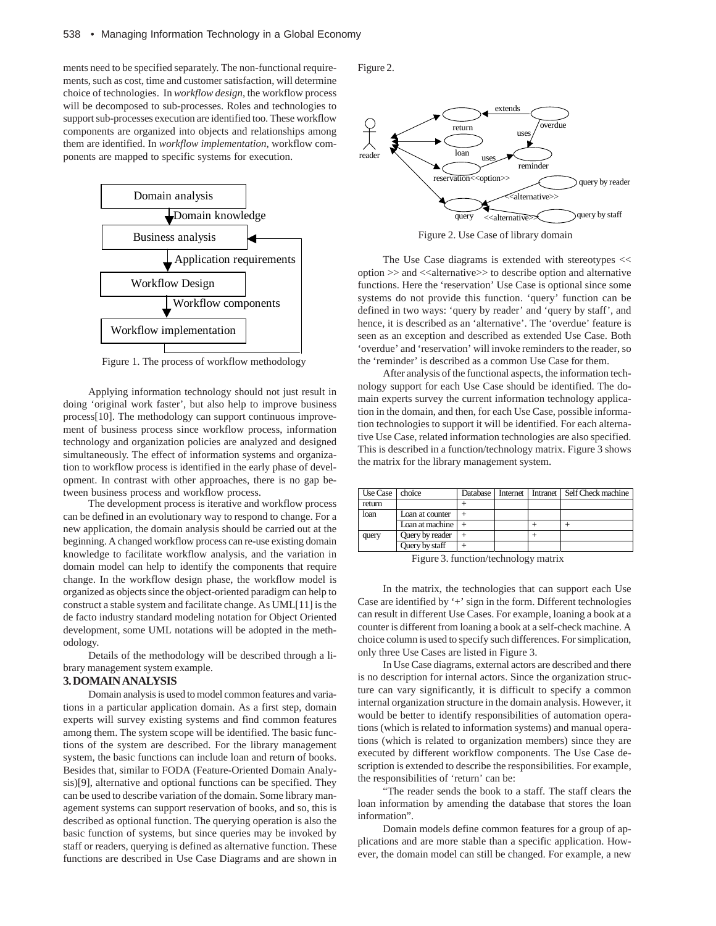ments need to be specified separately. The non-functional requirements, such as cost, time and customer satisfaction, will determine choice of technologies. In *workflow design*, the workflow process will be decomposed to sub-processes. Roles and technologies to support sub-processes execution are identified too. These workflow components are organized into objects and relationships among them are identified. In *workflow implementation*, workflow components are mapped to specific systems for execution.



Figure 1. The process of workflow methodology

Applying information technology should not just result in doing 'original work faster', but also help to improve business process[10]. The methodology can support continuous improvement of business process since workflow process, information technology and organization policies are analyzed and designed simultaneously. The effect of information systems and organization to workflow process is identified in the early phase of development. In contrast with other approaches, there is no gap between business process and workflow process.

The development process is iterative and workflow process can be defined in an evolutionary way to respond to change. For a new application, the domain analysis should be carried out at the beginning. A changed workflow process can re-use existing domain knowledge to facilitate workflow analysis, and the variation in domain model can help to identify the components that require change. In the workflow design phase, the workflow model is organized as objects since the object-oriented paradigm can help to construct a stable system and facilitate change. As UML[11] is the de facto industry standard modeling notation for Object Oriented development, some UML notations will be adopted in the methodology.

Details of the methodology will be described through a library management system example.

#### **3. DOMAIN ANALYSIS**

Domain analysis is used to model common features and variations in a particular application domain. As a first step, domain experts will survey existing systems and find common features among them. The system scope will be identified. The basic functions of the system are described. For the library management system, the basic functions can include loan and return of books. Besides that, similar to FODA (Feature-Oriented Domain Analysis)[9], alternative and optional functions can be specified. They can be used to describe variation of the domain. Some library management systems can support reservation of books, and so, this is described as optional function. The querying operation is also the basic function of systems, but since queries may be invoked by staff or readers, querying is defined as alternative function. These functions are described in Use Case Diagrams and are shown in

Figure 2.



Figure 2. Use Case of library domain

The Use Case diagrams is extended with stereotypes << option >> and <<alternative>> to describe option and alternative functions. Here the 'reservation' Use Case is optional since some systems do not provide this function. 'query' function can be defined in two ways: 'query by reader' and 'query by staff', and hence, it is described as an 'alternative'. The 'overdue' feature is seen as an exception and described as extended Use Case. Both 'overdue' and 'reservation' will invoke reminders to the reader, so the 'reminder' is described as a common Use Case for them.

After analysis of the functional aspects, the information technology support for each Use Case should be identified. The domain experts survey the current information technology application in the domain, and then, for each Use Case, possible information technologies to support it will be identified. For each alternative Use Case, related information technologies are also specified. This is described in a function/technology matrix. Figure 3 shows the matrix for the library management system.

| Use Case | choice          | Database |  | Internet   Intranet   Self Check machine |
|----------|-----------------|----------|--|------------------------------------------|
| return   |                 |          |  |                                          |
| loan     | Loan at counter |          |  |                                          |
|          | Loan at machine |          |  |                                          |
| query    | Ouery by reader |          |  |                                          |
|          | Ouery by staff  |          |  |                                          |

Figure 3. function/technology matrix

In the matrix, the technologies that can support each Use Case are identified by '+' sign in the form. Different technologies can result in different Use Cases. For example, loaning a book at a counter is different from loaning a book at a self-check machine. A choice column is used to specify such differences. For simplication, only three Use Cases are listed in Figure 3.

In Use Case diagrams, external actors are described and there is no description for internal actors. Since the organization structure can vary significantly, it is difficult to specify a common internal organization structure in the domain analysis. However, it would be better to identify responsibilities of automation operations (which is related to information systems) and manual operations (which is related to organization members) since they are executed by different workflow components. The Use Case description is extended to describe the responsibilities. For example, the responsibilities of 'return' can be:

"The reader sends the book to a staff. The staff clears the loan information by amending the database that stores the loan information".

Domain models define common features for a group of applications and are more stable than a specific application. However, the domain model can still be changed. For example, a new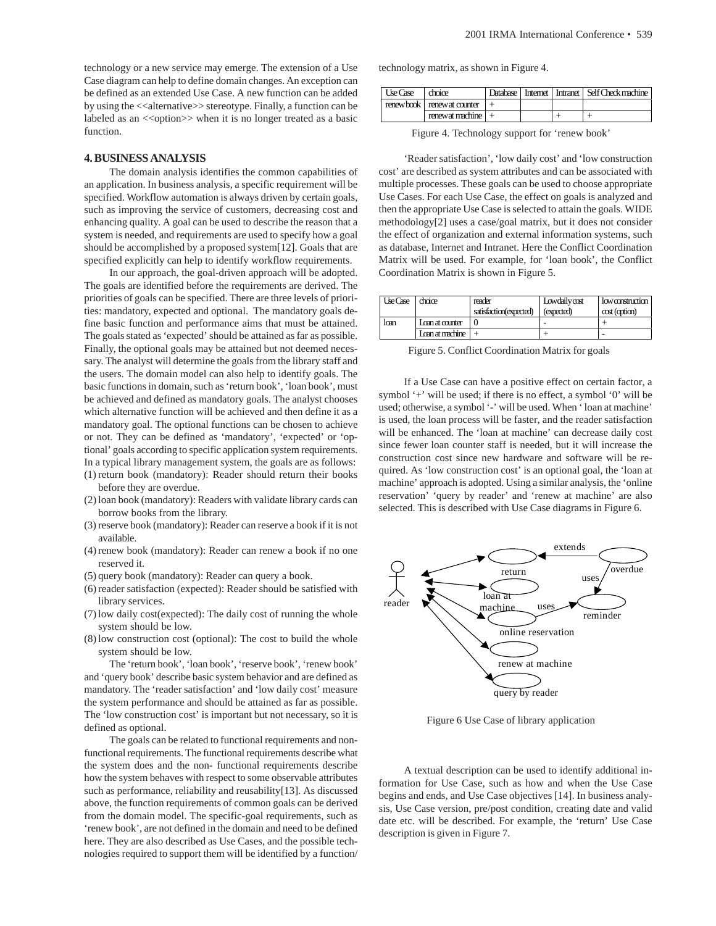technology or a new service may emerge. The extension of a Use Case diagram can help to define domain changes. An exception can be defined as an extended Use Case. A new function can be added by using the <<alternative>> stereotype. Finally, a function can be labeled as an <<option>> when it is no longer treated as a basic function.

#### **4. BUSINESS ANALYSIS**

The domain analysis identifies the common capabilities of an application. In business analysis, a specific requirement will be specified. Workflow automation is always driven by certain goals, such as improving the service of customers, decreasing cost and enhancing quality. A goal can be used to describe the reason that a system is needed, and requirements are used to specify how a goal should be accomplished by a proposed system[12]. Goals that are specified explicitly can help to identify workflow requirements.

In our approach, the goal-driven approach will be adopted. The goals are identified before the requirements are derived. The priorities of goals can be specified. There are three levels of priorities: mandatory, expected and optional. The mandatory goals define basic function and performance aims that must be attained. The goals stated as 'expected' should be attained as far as possible. Finally, the optional goals may be attained but not deemed necessary. The analyst will determine the goals from the library staff and the users. The domain model can also help to identify goals. The basic functions in domain, such as 'return book', 'loan book', must be achieved and defined as mandatory goals. The analyst chooses which alternative function will be achieved and then define it as a mandatory goal. The optional functions can be chosen to achieve or not. They can be defined as 'mandatory', 'expected' or 'optional' goals according to specific application system requirements. In a typical library management system, the goals are as follows: (1) return book (mandatory): Reader should return their books before they are overdue.

- (2) loan book (mandatory): Readers with validate library cards can borrow books from the library.
- (3) reserve book (mandatory): Reader can reserve a book if it is not available.
- (4) renew book (mandatory): Reader can renew a book if no one reserved it.
- (5) query book (mandatory): Reader can query a book.
- (6) reader satisfaction (expected): Reader should be satisfied with library services.
- (7) low daily cost(expected): The daily cost of running the whole system should be low.
- (8) low construction cost (optional): The cost to build the whole system should be low.

The 'return book', 'loan book', 'reserve book', 'renew book' and 'query book' describe basic system behavior and are defined as mandatory. The 'reader satisfaction' and 'low daily cost' measure the system performance and should be attained as far as possible. The 'low construction cost' is important but not necessary, so it is defined as optional.

The goals can be related to functional requirements and nonfunctional requirements. The functional requirements describe what the system does and the non- functional requirements describe how the system behaves with respect to some observable attributes such as performance, reliability and reusability[13]. As discussed above, the function requirements of common goals can be derived from the domain model. The specific-goal requirements, such as 'renew book', are not defined in the domain and need to be defined here. They are also described as Use Cases, and the possible technologies required to support them will be identified by a function/

technology matrix, as shown in Figure 4.

| Lise Case | choice                    |  | Database   Internet   Intranet   Self Check machine |
|-----------|---------------------------|--|-----------------------------------------------------|
|           | renewbook renewat counter |  |                                                     |
|           | $renewat machine$ +       |  |                                                     |

Figure 4. Technology support for 'renew book'

'Reader satisfaction', 'low daily cost' and 'low construction cost' are described as system attributes and can be associated with multiple processes. These goals can be used to choose appropriate Use Cases. For each Use Case, the effect on goals is analyzed and then the appropriate Use Case is selected to attain the goals. WIDE methodology[2] uses a case/goal matrix, but it does not consider the effect of organization and external information systems, such as database, Internet and Intranet. Here the Conflict Coordination Matrix will be used. For example, for 'loan book', the Conflict Coordination Matrix is shown in Figure 5.

| <b>Use Case</b> | doice           | reader<br>satisfaction(expected) | Lowdailycost<br>(expected) | lowconstruction<br>$\cot(\text{qation})$ |
|-----------------|-----------------|----------------------------------|----------------------------|------------------------------------------|
| loan            | Loan at counter |                                  |                            |                                          |
|                 | Loan at machine |                                  |                            |                                          |

Figure 5. Conflict Coordination Matrix for goals

If a Use Case can have a positive effect on certain factor, a symbol '+' will be used; if there is no effect, a symbol '0' will be used; otherwise, a symbol '-' will be used. When ' loan at machine' is used, the loan process will be faster, and the reader satisfaction will be enhanced. The 'loan at machine' can decrease daily cost since fewer loan counter staff is needed, but it will increase the construction cost since new hardware and software will be required. As 'low construction cost' is an optional goal, the 'loan at machine' approach is adopted. Using a similar analysis, the 'online reservation' 'query by reader' and 'renew at machine' are also selected. This is described with Use Case diagrams in Figure 6.



Figure 6 Use Case of library application

A textual description can be used to identify additional information for Use Case, such as how and when the Use Case begins and ends, and Use Case objectives [14]. In business analysis, Use Case version, pre/post condition, creating date and valid date etc. will be described. For example, the 'return' Use Case description is given in Figure 7.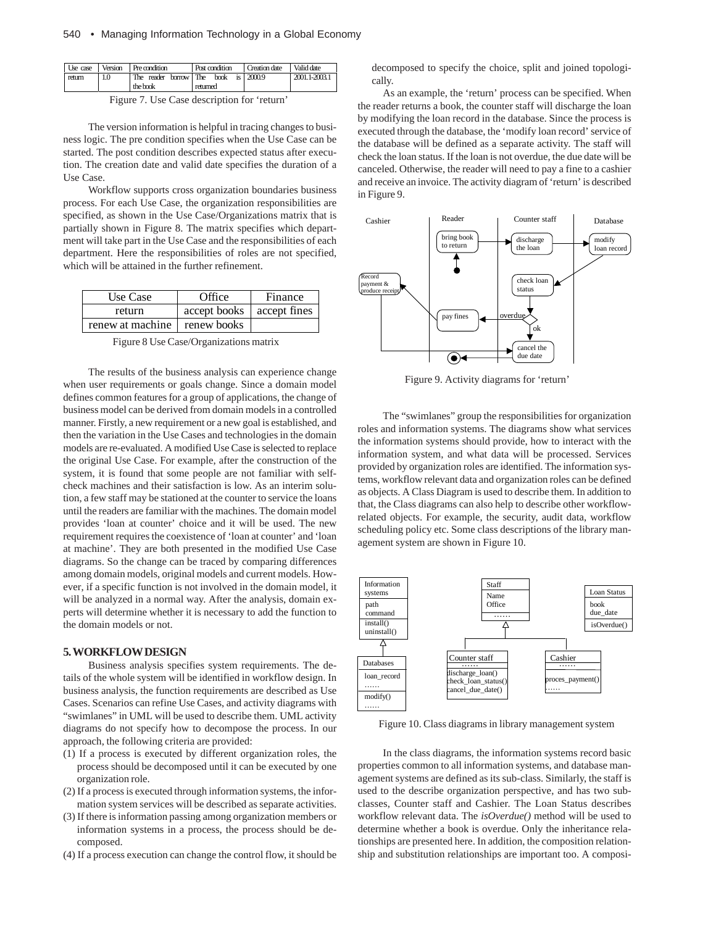| is $2000.9$<br>The reader borrow The<br>1.0<br>book<br>return | Use case | Version | Precondition | Post condition | Creation date | Valid date    |
|---------------------------------------------------------------|----------|---------|--------------|----------------|---------------|---------------|
|                                                               |          |         | the book     | returned       |               | 2001.1-2003.1 |

Figure 7. Use Case description for 'return'

The version information is helpful in tracing changes to business logic. The pre condition specifies when the Use Case can be started. The post condition describes expected status after execution. The creation date and valid date specifies the duration of a Use Case.

Workflow supports cross organization boundaries business process. For each Use Case, the organization responsibilities are specified, as shown in the Use Case/Organizations matrix that is partially shown in Figure 8. The matrix specifies which department will take part in the Use Case and the responsibilities of each department. Here the responsibilities of roles are not specified, which will be attained in the further refinement.

| Use Case                     | Office                      | Finance |
|------------------------------|-----------------------------|---------|
| return                       | accept books   accept fines |         |
| renew at machine renew books |                             |         |

Figure 8 Use Case/Organizations matrix

The results of the business analysis can experience change when user requirements or goals change. Since a domain model defines common features for a group of applications, the change of business model can be derived from domain models in a controlled manner. Firstly, a new requirement or a new goal is established, and then the variation in the Use Cases and technologies in the domain models are re-evaluated. A modified Use Case is selected to replace the original Use Case. For example, after the construction of the system, it is found that some people are not familiar with selfcheck machines and their satisfaction is low. As an interim solution, a few staff may be stationed at the counter to service the loans until the readers are familiar with the machines. The domain model provides 'loan at counter' choice and it will be used. The new requirement requires the coexistence of 'loan at counter' and 'loan at machine'. They are both presented in the modified Use Case diagrams. So the change can be traced by comparing differences among domain models, original models and current models. However, if a specific function is not involved in the domain model, it will be analyzed in a normal way. After the analysis, domain experts will determine whether it is necessary to add the function to the domain models or not.

#### **5. WORKFLOW DESIGN**

Business analysis specifies system requirements. The details of the whole system will be identified in workflow design. In business analysis, the function requirements are described as Use Cases. Scenarios can refine Use Cases, and activity diagrams with "swimlanes" in UML will be used to describe them. UML activity diagrams do not specify how to decompose the process. In our approach, the following criteria are provided:

- (1) If a process is executed by different organization roles, the process should be decomposed until it can be executed by one organization role.
- (2) If a process is executed through information systems, the information system services will be described as separate activities.
- (3) If there is information passing among organization members or information systems in a process, the process should be decomposed.
- (4) If a process execution can change the control flow, it should be

decomposed to specify the choice, split and joined topologically.

As an example, the 'return' process can be specified. When the reader returns a book, the counter staff will discharge the loan by modifying the loan record in the database. Since the process is executed through the database, the 'modify loan record' service of the database will be defined as a separate activity. The staff will check the loan status. If the loan is not overdue, the due date will be canceled. Otherwise, the reader will need to pay a fine to a cashier and receive an invoice. The activity diagram of 'return' is described in Figure 9.



Figure 9. Activity diagrams for 'return'

The "swimlanes" group the responsibilities for organization roles and information systems. The diagrams show what services the information systems should provide, how to interact with the information system, and what data will be processed. Services provided by organization roles are identified. The information systems, workflow relevant data and organization roles can be defined as objects. A Class Diagram is used to describe them. In addition to that, the Class diagrams can also help to describe other workflowrelated objects. For example, the security, audit data, workflow scheduling policy etc. Some class descriptions of the library management system are shown in Figure 10.



Figure 10. Class diagrams in library management system

In the class diagrams, the information systems record basic properties common to all information systems, and database management systems are defined as its sub-class. Similarly, the staff is used to the describe organization perspective, and has two subclasses, Counter staff and Cashier. The Loan Status describes workflow relevant data. The *isOverdue()* method will be used to determine whether a book is overdue. Only the inheritance relationships are presented here. In addition, the composition relationship and substitution relationships are important too. A composi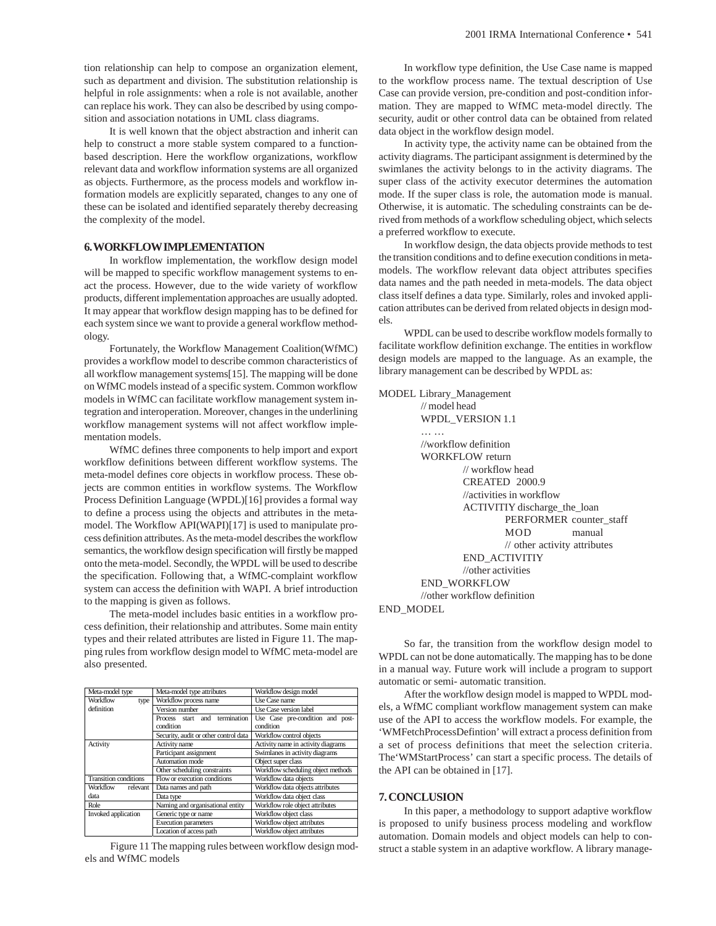tion relationship can help to compose an organization element, such as department and division. The substitution relationship is helpful in role assignments: when a role is not available, another can replace his work. They can also be described by using composition and association notations in UML class diagrams.

It is well known that the object abstraction and inherit can help to construct a more stable system compared to a functionbased description. Here the workflow organizations, workflow relevant data and workflow information systems are all organized as objects. Furthermore, as the process models and workflow information models are explicitly separated, changes to any one of these can be isolated and identified separately thereby decreasing the complexity of the model.

#### **6. WORKFLOW IMPLEMENTATION**

In workflow implementation, the workflow design model will be mapped to specific workflow management systems to enact the process. However, due to the wide variety of workflow products, different implementation approaches are usually adopted. It may appear that workflow design mapping has to be defined for each system since we want to provide a general workflow methodology.

Fortunately, the Workflow Management Coalition(WfMC) provides a workflow model to describe common characteristics of all workflow management systems[15]. The mapping will be done on WfMC models instead of a specific system. Common workflow models in WfMC can facilitate workflow management system integration and interoperation. Moreover, changes in the underlining workflow management systems will not affect workflow implementation models.

WfMC defines three components to help import and export workflow definitions between different workflow systems. The meta-model defines core objects in workflow process. These objects are common entities in workflow systems. The Workflow Process Definition Language (WPDL)[16] provides a formal way to define a process using the objects and attributes in the metamodel. The Workflow API(WAPI)[17] is used to manipulate process definition attributes. As the meta-model describes the workflow semantics, the workflow design specification will firstly be mapped onto the meta-model. Secondly, the WPDL will be used to describe the specification. Following that, a WfMC-complaint workflow system can access the definition with WAPI. A brief introduction to the mapping is given as follows.

The meta-model includes basic entities in a workflow process definition, their relationship and attributes. Some main entity types and their related attributes are listed in Figure 11. The mapping rules from workflow design model to WfMC meta-model are also presented.

| Meta-model type attributes            | Workflow design model              |  |
|---------------------------------------|------------------------------------|--|
| Workflow process name                 | Use Case name                      |  |
| Version number                        | Use Case version label             |  |
| termination<br>Process start and      | Use Case pre-condition and post-   |  |
| condition                             | condition                          |  |
| Security, audit or other control data | Workflow control objects           |  |
| Activity name                         | Activity name in activity diagrams |  |
| Participant assignment                | Swimlanes in activity diagrams     |  |
| Automation mode                       | Object super class                 |  |
| Other scheduling constraints          | Workflow scheduling object methods |  |
| Flow or execution conditions          | Workflow data objects              |  |
| Data names and path                   | Workflow data objects attributes   |  |
| Data type                             | Workflow data object class         |  |
| Naming and organisational entity      | Workflow role object attributes    |  |
| Generic type or name                  | Workflow object class              |  |
| <b>Execution parameters</b>           | Workflow object attributes         |  |
| Location of access path               | Workflow object attributes         |  |
|                                       |                                    |  |

Figure 11 The mapping rules between workflow design models and WfMC models

In workflow type definition, the Use Case name is mapped to the workflow process name. The textual description of Use Case can provide version, pre-condition and post-condition information. They are mapped to WfMC meta-model directly. The security, audit or other control data can be obtained from related data object in the workflow design model.

In activity type, the activity name can be obtained from the activity diagrams. The participant assignment is determined by the swimlanes the activity belongs to in the activity diagrams. The super class of the activity executor determines the automation mode. If the super class is role, the automation mode is manual. Otherwise, it is automatic. The scheduling constraints can be derived from methods of a workflow scheduling object, which selects a preferred workflow to execute.

In workflow design, the data objects provide methods to test the transition conditions and to define execution conditions in metamodels. The workflow relevant data object attributes specifies data names and the path needed in meta-models. The data object class itself defines a data type. Similarly, roles and invoked application attributes can be derived from related objects in design models.

WPDL can be used to describe workflow models formally to facilitate workflow definition exchange. The entities in workflow design models are mapped to the language. As an example, the library management can be described by WPDL as:

MODEL Library\_Management // model head WPDL\_VERSION 1.1 … … //workflow definition WORKFLOW return // workflow head CREATED 2000.9 //activities in workflow ACTIVITIY discharge\_the\_loan PERFORMER counter\_staff MOD manual // other activity attributes END\_ACTIVITIY //other activities END\_WORKFLOW //other workflow definition

END\_MODEL

So far, the transition from the workflow design model to WPDL can not be done automatically. The mapping has to be done in a manual way. Future work will include a program to support automatic or semi- automatic transition.

After the workflow design model is mapped to WPDL models, a WfMC compliant workflow management system can make use of the API to access the workflow models. For example, the 'WMFetchProcessDefintion' will extract a process definition from a set of process definitions that meet the selection criteria. The'WMStartProcess' can start a specific process. The details of the API can be obtained in [17].

#### **7. CONCLUSION**

In this paper, a methodology to support adaptive workflow is proposed to unify business process modeling and workflow automation. Domain models and object models can help to construct a stable system in an adaptive workflow. A library manage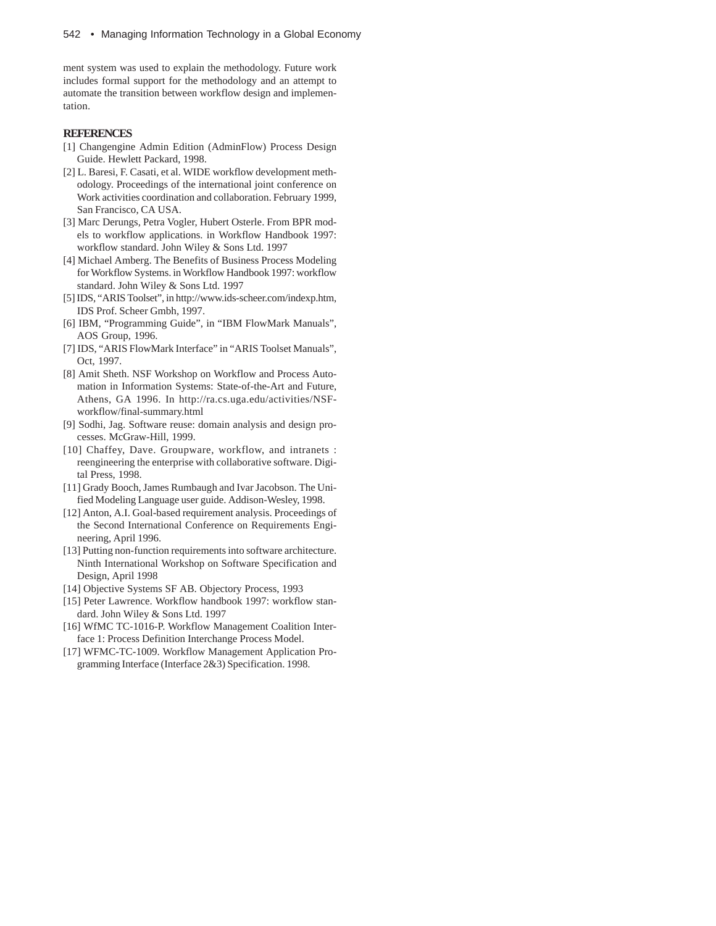ment system was used to explain the methodology. Future work includes formal support for the methodology and an attempt to automate the transition between workflow design and implementation.

#### **REFERENCES**

- [1] Changengine Admin Edition (AdminFlow) Process Design Guide. Hewlett Packard, 1998.
- [2] L. Baresi, F. Casati, et al. WIDE workflow development methodology. Proceedings of the international joint conference on Work activities coordination and collaboration. February 1999, San Francisco, CA USA.
- [3] Marc Derungs, Petra Vogler, Hubert Osterle. From BPR models to workflow applications. in Workflow Handbook 1997: workflow standard. John Wiley & Sons Ltd. 1997
- [4] Michael Amberg. The Benefits of Business Process Modeling for Workflow Systems. in Workflow Handbook 1997: workflow standard. John Wiley & Sons Ltd. 1997
- [5] IDS, "ARIS Toolset", in http://www.ids-scheer.com/indexp.htm, IDS Prof. Scheer Gmbh, 1997.
- [6] IBM, "Programming Guide", in "IBM FlowMark Manuals", AOS Group, 1996.
- [7] IDS, "ARIS FlowMark Interface" in "ARIS Toolset Manuals", Oct, 1997.
- [8] Amit Sheth. NSF Workshop on Workflow and Process Automation in Information Systems: State-of-the-Art and Future, Athens, GA 1996. In http://ra.cs.uga.edu/activities/NSFworkflow/final-summary.html
- [9] Sodhi, Jag. Software reuse: domain analysis and design processes. McGraw-Hill, 1999.
- [10] Chaffey, Dave. Groupware, workflow, and intranets : reengineering the enterprise with collaborative software. Digital Press, 1998.
- [11] Grady Booch, James Rumbaugh and Ivar Jacobson. The Unified Modeling Language user guide. Addison-Wesley, 1998.
- [12] Anton, A.I. Goal-based requirement analysis. Proceedings of the Second International Conference on Requirements Engineering, April 1996.
- [13] Putting non-function requirements into software architecture. Ninth International Workshop on Software Specification and Design, April 1998
- [14] Objective Systems SF AB. Objectory Process, 1993
- [15] Peter Lawrence. Workflow handbook 1997: workflow standard. John Wiley & Sons Ltd. 1997
- [16] WfMC TC-1016-P. Workflow Management Coalition Interface 1: Process Definition Interchange Process Model.
- [17] WFMC-TC-1009. Workflow Management Application Programming Interface (Interface 2&3) Specification. 1998.